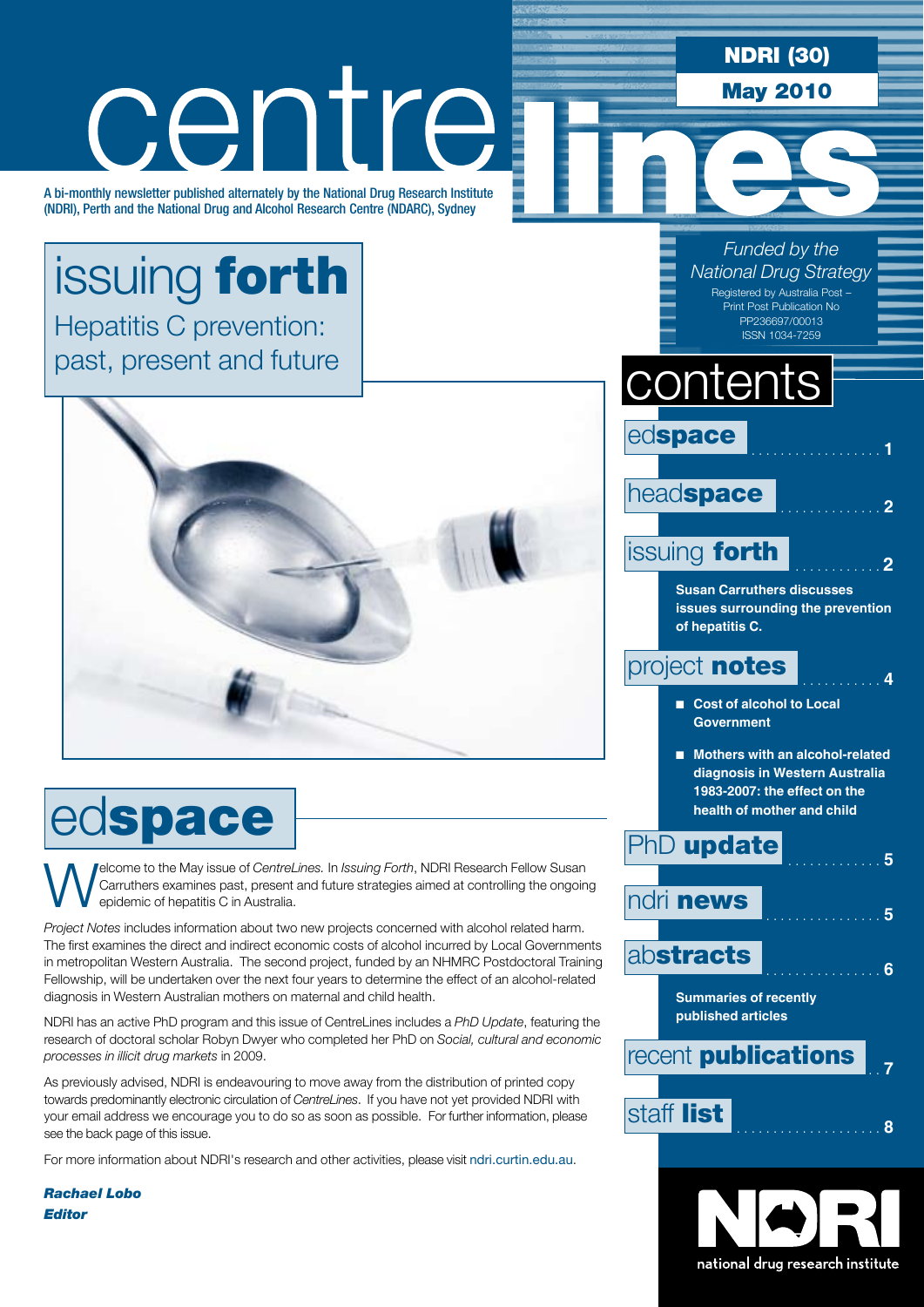#### NDRI (30) centre May 2010 A bi-monthly newsletter published alternately by the National Drug Research Institute (NDRI), Perth and the National Drug and Alcohol Research Centre (NDARC), Sydney *Funded by the*  issuing forth *National Drug Strategy* Registered by Australia Post – Print Post Publication No Hepatitis C prevention: PP236697/00013 ISSN 1034-7259 past, present and futurecontents edspace head**space issuing forth Susan Carruthers discusses issues surrounding the prevention of hepatitis C.** project **notes**  $\begin{array}{ccc} 4 & 4 \\ 4 & 4 \end{array}$ ■ Cost of alcohol to Local **Government** ■ Mothers with an alcohol-related **diagnosis in Western Australia 1983-2007: the effect on the**  edspace **health of mother and child PhD** update **Welcome to the May issue of** *CentreLines.* In *Issuing Forth*, NDRI Research Fellow Susan Carruthers examines past, present and future strategies aimed at controlling the ongoin epidemic of hepatitis C in Australia. Carruthers examines past, present and future strategies aimed at controlling the ongoing ndri news . . **<sup>5</sup>** epidemic of hepatitis C in Australia. *Project Notes* includes information about two new projects concerned with alcohol related harm. The first examines the direct and indirect economic costs of alcohol incurred by Local Governments abstracts . . **<sup>6</sup>** in metropolitan Western Australia. The second project, funded by an NHMRC Postdoctoral Training Fellowship, will be undertaken over the next four years to determine the effect of an alcohol-related diagnosis in Western Australian mothers on maternal and child health. **Summaries of recently published articles** NDRI has an active PhD program and this issue of CentreLines includes a *PhD Update*, featuring the research of doctoral scholar Robyn Dwyer who completed her PhD on *Social, cultural and economic*  recent **publications** *processes in illicit drug markets* in 2009. As previously advised, NDRI is endeavouring to move away from the distribution of printed copy

staff list . . **<sup>8</sup>**

national drug research institute

towards predominantly electronic circulation of *CentreLines*. If you have not yet provided NDRI with your email address we encourage you to do so as soon as possible. For further information, please see the back page of this issue.

For more information about NDRI's research and other activities, please visit ndri.curtin.edu.au.

*Rachael Lobo Editor*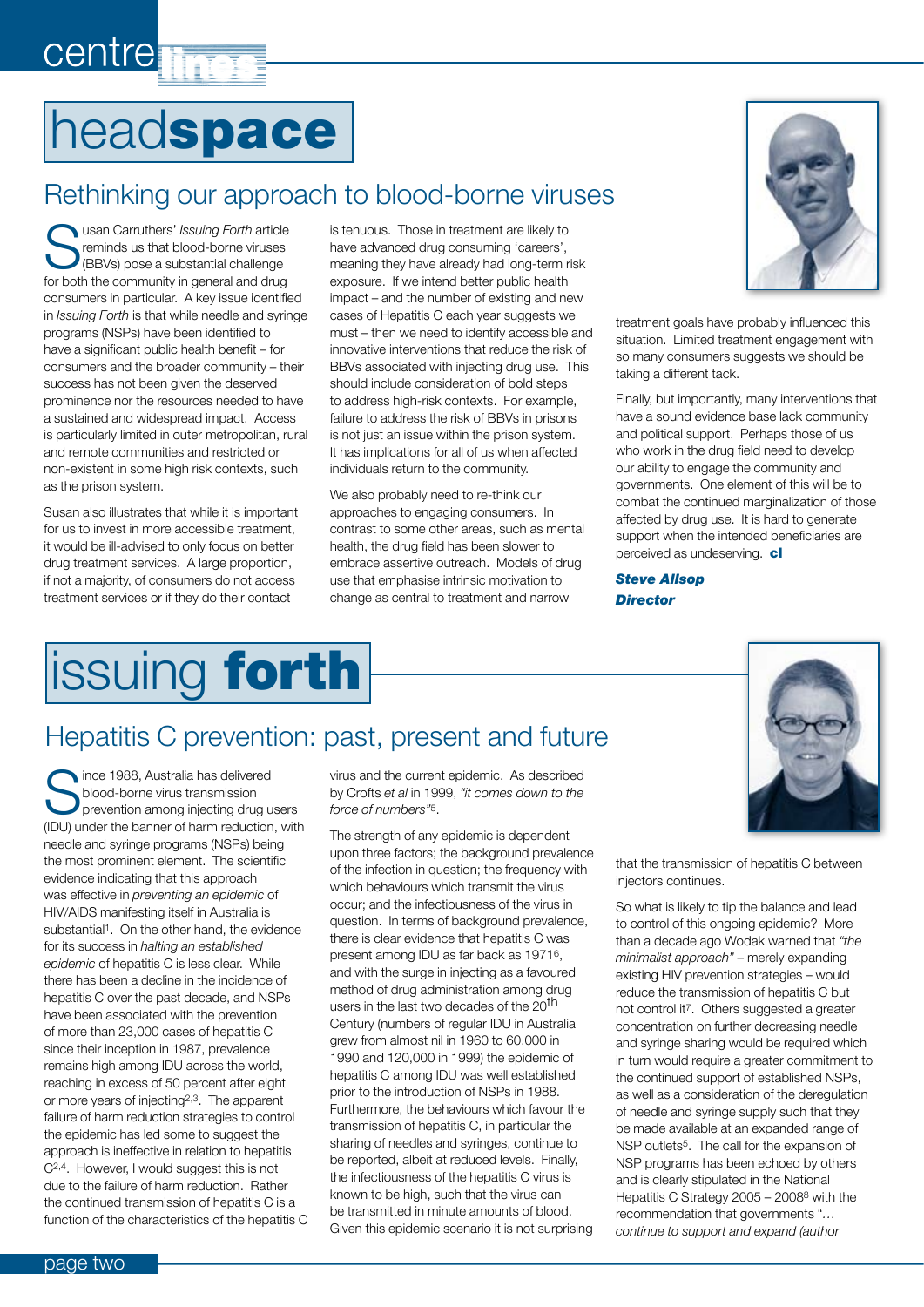# headspace

**centre** 

### Rethinking our approach to blood-borne viruses

**Nusan Carruthers' Issuing Forth article** reminds us that blood-borne viruses (BBVs) pose a substantial challenge for both the community in general and drug consumers in particular. A key issue identified in *Issuing Forth* is that while needle and syringe programs (NSPs) have been identified to have a significant public health benefit – for consumers and the broader community – their success has not been given the deserved prominence nor the resources needed to have a sustained and widespread impact. Access is particularly limited in outer metropolitan, rural and remote communities and restricted or non-existent in some high risk contexts, such as the prison system.

Susan also illustrates that while it is important for us to invest in more accessible treatment, it would be ill-advised to only focus on better drug treatment services. A large proportion, if not a majority, of consumers do not access treatment services or if they do their contact

is tenuous. Those in treatment are likely to have advanced drug consuming 'careers', meaning they have already had long-term risk exposure. If we intend better public health impact – and the number of existing and new cases of Hepatitis C each year suggests we must – then we need to identify accessible and innovative interventions that reduce the risk of BBVs associated with injecting drug use. This should include consideration of bold steps to address high-risk contexts. For example, failure to address the risk of BBVs in prisons is not just an issue within the prison system. It has implications for all of us when affected individuals return to the community.

We also probably need to re-think our approaches to engaging consumers. In contrast to some other areas, such as mental health, the drug field has been slower to embrace assertive outreach. Models of drug use that emphasise intrinsic motivation to change as central to treatment and narrow



treatment goals have probably influenced this situation. Limited treatment engagement with so many consumers suggests we should be taking a different tack.

Finally, but importantly, many interventions that have a sound evidence base lack community and political support. Perhaps those of us who work in the drug field need to develop our ability to engage the community and governments. One element of this will be to combat the continued marginalization of those affected by drug use. It is hard to generate support when the intended beneficiaries are perceived as undeserving. cl

*Steve Allsop Director*

## issuing forth

### Hepatitis C prevention: past, present and future

ince 1988, Australia has delivered blood-borne virus transmission prevention among injecting drug users (IDU) under the banner of harm reduction, with needle and syringe programs (NSPs) being the most prominent element. The scientific evidence indicating that this approach was effective in *preventing an epidemic* of HIV/AIDS manifesting itself in Australia is substantial<sup>1</sup>. On the other hand, the evidence for its success in *halting an established epidemic* of hepatitis C is less clear. While there has been a decline in the incidence of hepatitis C over the past decade, and NSPs have been associated with the prevention of more than 23,000 cases of hepatitis C since their inception in 1987, prevalence remains high among IDU across the world, reaching in excess of 50 percent after eight or more years of injecting2,3. The apparent failure of harm reduction strategies to control the epidemic has led some to suggest the approach is ineffective in relation to hepatitis C2,4. However, I would suggest this is not due to the failure of harm reduction. Rather the continued transmission of hepatitis C is a function of the characteristics of the hepatitis C

virus and the current epidemic. As described by Crofts *et al* in 1999, *"it comes down to the force of numbers"*5.

The strength of any epidemic is dependent upon three factors; the background prevalence of the infection in question; the frequency with which behaviours which transmit the virus occur; and the infectiousness of the virus in question. In terms of background prevalence, there is clear evidence that hepatitis C was present among IDU as far back as 19716, and with the surge in injecting as a favoured method of drug administration among drug users in the last two decades of the  $20<sup>th</sup>$ Century (numbers of regular IDU in Australia grew from almost nil in 1960 to 60,000 in 1990 and 120,000 in 1999) the epidemic of hepatitis C among IDU was well established prior to the introduction of NSPs in 1988. Furthermore, the behaviours which favour the transmission of hepatitis C, in particular the sharing of needles and syringes, continue to be reported, albeit at reduced levels. Finally, the infectiousness of the hepatitis C virus is known to be high, such that the virus can be transmitted in minute amounts of blood. Given this epidemic scenario it is not surprising

that the transmission of hepatitis C between injectors continues.

So what is likely to tip the balance and lead to control of this ongoing epidemic? More than a decade ago Wodak warned that *"the minimalist approach"* – merely expanding existing HIV prevention strategies – would reduce the transmission of hepatitis C but not control it7. Others suggested a greater concentration on further decreasing needle and syringe sharing would be required which in turn would require a greater commitment to the continued support of established NSPs, as well as a consideration of the deregulation of needle and syringe supply such that they be made available at an expanded range of NSP outlets<sup>5</sup>. The call for the expansion of NSP programs has been echoed by others and is clearly stipulated in the National Hepatitis C Strategy 2005 – 20088 with the recommendation that governments "*… continue to support and expand (author*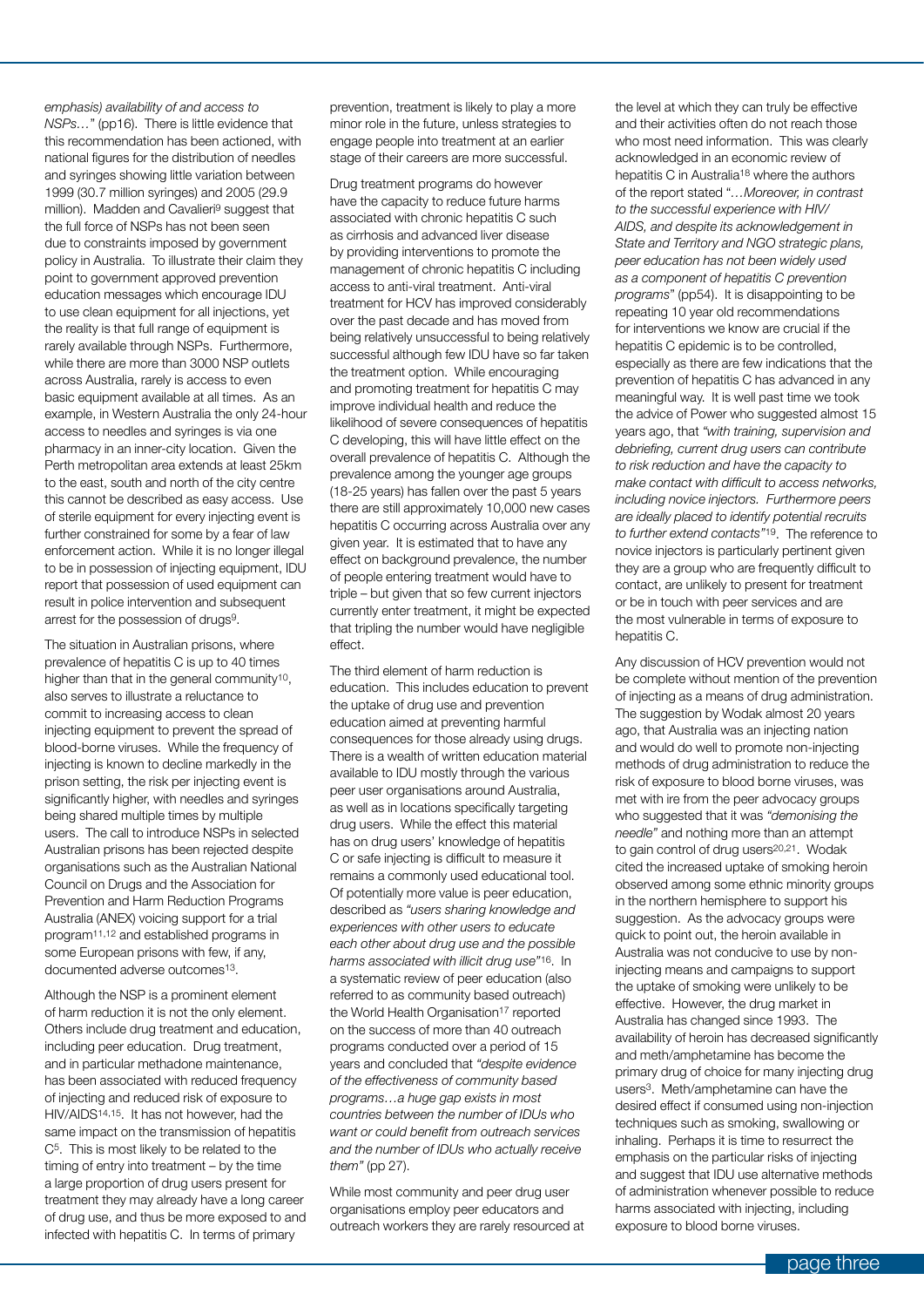*emphasis) availability of and access to NSPs…*" (pp16). There is little evidence that this recommendation has been actioned, with national figures for the distribution of needles and syringes showing little variation between 1999 (30.7 million syringes) and 2005 (29.9 million). Madden and Cavalieri9 suggest that the full force of NSPs has not been seen due to constraints imposed by government policy in Australia. To illustrate their claim they point to government approved prevention education messages which encourage IDU to use clean equipment for all injections, yet the reality is that full range of equipment is rarely available through NSPs. Furthermore, while there are more than 3000 NSP outlets across Australia, rarely is access to even basic equipment available at all times. As an example, in Western Australia the only 24-hour access to needles and syringes is via one pharmacy in an inner-city location. Given the Perth metropolitan area extends at least 25km to the east, south and north of the city centre this cannot be described as easy access. Use of sterile equipment for every injecting event is further constrained for some by a fear of law enforcement action. While it is no longer illegal to be in possession of injecting equipment, IDU report that possession of used equipment can result in police intervention and subsequent arrest for the possession of drugs9.

The situation in Australian prisons, where prevalence of hepatitis C is up to 40 times higher than that in the general community<sup>10</sup>, also serves to illustrate a reluctance to commit to increasing access to clean injecting equipment to prevent the spread of blood-borne viruses. While the frequency of injecting is known to decline markedly in the prison setting, the risk per injecting event is significantly higher, with needles and syringes being shared multiple times by multiple users. The call to introduce NSPs in selected Australian prisons has been rejected despite organisations such as the Australian National Council on Drugs and the Association for Prevention and Harm Reduction Programs Australia (ANEX) voicing support for a trial program11,12 and established programs in some European prisons with few, if any, documented adverse outcomes<sup>13</sup>.

Although the NSP is a prominent element of harm reduction it is not the only element. Others include drug treatment and education, including peer education. Drug treatment, and in particular methadone maintenance, has been associated with reduced frequency of injecting and reduced risk of exposure to HIV/AIDS14,15. It has not however, had the same impact on the transmission of hepatitis C5. This is most likely to be related to the timing of entry into treatment – by the time a large proportion of drug users present for treatment they may already have a long career of drug use, and thus be more exposed to and infected with hepatitis C. In terms of primary

prevention, treatment is likely to play a more minor role in the future, unless strategies to engage people into treatment at an earlier stage of their careers are more successful.

Drug treatment programs do however have the capacity to reduce future harms associated with chronic hepatitis C such as cirrhosis and advanced liver disease by providing interventions to promote the management of chronic hepatitis C including access to anti-viral treatment. Anti-viral treatment for HCV has improved considerably over the past decade and has moved from being relatively unsuccessful to being relatively successful although few IDU have so far taken the treatment option. While encouraging and promoting treatment for hepatitis C may improve individual health and reduce the likelihood of severe consequences of hepatitis C developing, this will have little effect on the overall prevalence of hepatitis C. Although the prevalence among the younger age groups (18-25 years) has fallen over the past 5 years there are still approximately 10,000 new cases hepatitis C occurring across Australia over any given year. It is estimated that to have any effect on background prevalence, the number of people entering treatment would have to triple – but given that so few current injectors currently enter treatment, it might be expected that tripling the number would have negligible effect.

The third element of harm reduction is education. This includes education to prevent the uptake of drug use and prevention education aimed at preventing harmful consequences for those already using drugs. There is a wealth of written education material available to IDU mostly through the various peer user organisations around Australia, as well as in locations specifically targeting drug users. While the effect this material has on drug users' knowledge of hepatitis C or safe injecting is difficult to measure it remains a commonly used educational tool. Of potentially more value is peer education, described as *"users sharing knowledge and experiences with other users to educate each other about drug use and the possible harms associated with illicit drug use"*16. In a systematic review of peer education (also referred to as community based outreach) the World Health Organisation<sup>17</sup> reported on the success of more than 40 outreach programs conducted over a period of 15 years and concluded that *"despite evidence of the effectiveness of community based programs…a huge gap exists in most countries between the number of IDUs who want or could benefit from outreach services and the number of IDUs who actually receive them"* (pp 27).

While most community and peer drug user organisations employ peer educators and outreach workers they are rarely resourced at

the level at which they can truly be effective and their activities often do not reach those who most need information. This was clearly acknowledged in an economic review of hepatitis C in Australia<sup>18</sup> where the authors of the report stated "*…Moreover, in contrast to the successful experience with HIV/ AIDS, and despite its acknowledgement in State and Territory and NGO strategic plans, peer education has not been widely used as a component of hepatitis C prevention programs*" (pp54). It is disappointing to be repeating 10 year old recommendations for interventions we know are crucial if the hepatitis C epidemic is to be controlled, especially as there are few indications that the prevention of hepatitis C has advanced in any meaningful way. It is well past time we took the advice of Power who suggested almost 15 years ago, that *"with training, supervision and debriefing, current drug users can contribute to risk reduction and have the capacity to make contact with difficult to access networks, including novice injectors. Furthermore peers are ideally placed to identify potential recruits to further extend contacts"*19. The reference to novice injectors is particularly pertinent given they are a group who are frequently difficult to contact, are unlikely to present for treatment or be in touch with peer services and are the most vulnerable in terms of exposure to hepatitis C.

Any discussion of HCV prevention would not be complete without mention of the prevention of injecting as a means of drug administration. The suggestion by Wodak almost 20 years ago, that Australia was an injecting nation and would do well to promote non-injecting methods of drug administration to reduce the risk of exposure to blood borne viruses, was met with ire from the peer advocacy groups who suggested that it was *"demonising the needle"* and nothing more than an attempt to gain control of drug users<sup>20,21</sup>. Wodak cited the increased uptake of smoking heroin observed among some ethnic minority groups in the northern hemisphere to support his suggestion. As the advocacy groups were quick to point out, the heroin available in Australia was not conducive to use by noninjecting means and campaigns to support the uptake of smoking were unlikely to be effective. However, the drug market in Australia has changed since 1993. The availability of heroin has decreased significantly and meth/amphetamine has become the primary drug of choice for many injecting drug users3. Meth/amphetamine can have the desired effect if consumed using non-injection techniques such as smoking, swallowing or inhaling. Perhaps it is time to resurrect the emphasis on the particular risks of injecting and suggest that IDU use alternative methods of administration whenever possible to reduce harms associated with injecting, including exposure to blood borne viruses.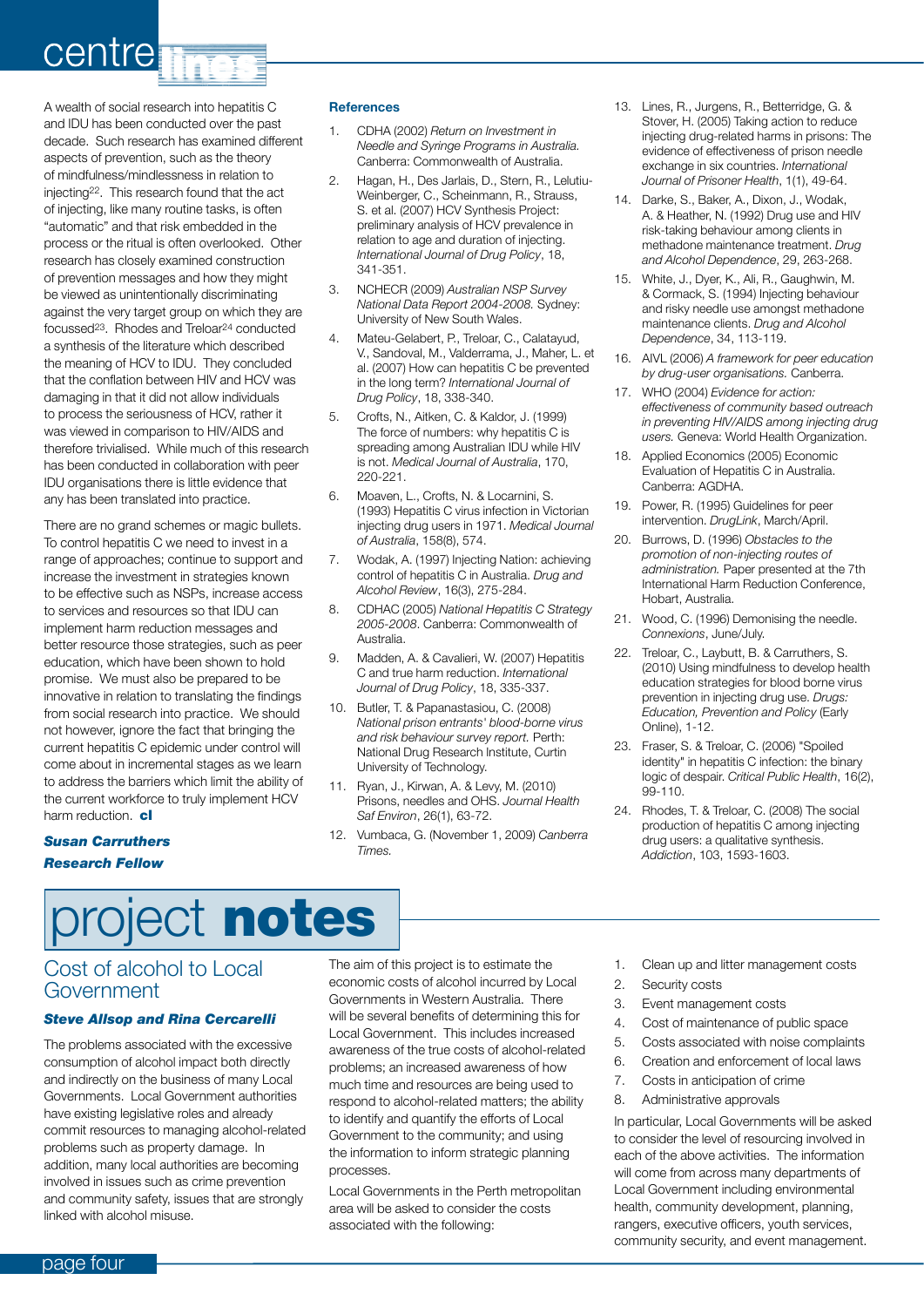## centre **T**

A wealth of social research into hepatitis C and IDU has been conducted over the past decade. Such research has examined different aspects of prevention, such as the theory of mindfulness/mindlessness in relation to injecting22. This research found that the act of injecting, like many routine tasks, is often "automatic" and that risk embedded in the process or the ritual is often overlooked. Other research has closely examined construction of prevention messages and how they might be viewed as unintentionally discriminating against the very target group on which they are focussed23. Rhodes and Treloar24 conducted a synthesis of the literature which described the meaning of HCV to IDU. They concluded that the conflation between HIV and HCV was damaging in that it did not allow individuals to process the seriousness of HCV, rather it was viewed in comparison to HIV/AIDS and therefore trivialised. While much of this research has been conducted in collaboration with peer IDU organisations there is little evidence that any has been translated into practice.

There are no grand schemes or magic bullets. To control hepatitis C we need to invest in a range of approaches; continue to support and increase the investment in strategies known to be effective such as NSPs, increase access to services and resources so that IDU can implement harm reduction messages and better resource those strategies, such as peer education, which have been shown to hold promise. We must also be prepared to be innovative in relation to translating the findings from social research into practice. We should not however, ignore the fact that bringing the current hepatitis C epidemic under control will come about in incremental stages as we learn to address the barriers which limit the ability of the current workforce to truly implement HCV harm reduction. cl

#### *Susan Carruthers Research Fellow*

#### **References**

- 1. CDHA (2002) *Return on Investment in Needle and Syringe Programs in Australia.* Canberra: Commonwealth of Australia.
- 2. Hagan, H., Des Jarlais, D., Stern, R., Lelutiu-Weinberger, C., Scheinmann, R., Strauss, S. et al. (2007) HCV Synthesis Project: preliminary analysis of HCV prevalence in relation to age and duration of injecting. *International Journal of Drug Policy*, 18, 341-351.
- 3. NCHECR (2009) *Australian NSP Survey National Data Report 2004-2008.* Sydney: University of New South Wales.
- 4. Mateu-Gelabert, P., Treloar, C., Calatayud, V., Sandoval, M., Valderrama, J., Maher, L. et al. (2007) How can hepatitis C be prevented in the long term? *International Journal of Drug Policy*, 18, 338-340.
- 5. Crofts, N., Aitken, C. & Kaldor, J. (1999) The force of numbers: why hepatitis C is spreading among Australian IDU while HIV is not. *Medical Journal of Australia*, 170, 220-221.
- 6. Moaven, L., Crofts, N. & Locarnini, S. (1993) Hepatitis C virus infection in Victorian injecting drug users in 1971. *Medical Journal of Australia*, 158(8), 574.
- 7. Wodak, A. (1997) Injecting Nation: achieving control of hepatitis C in Australia. *Drug and Alcohol Review*, 16(3), 275-284.
- 8. CDHAC (2005) *National Hepatitis C Strategy 2005-2008*. Canberra: Commonwealth of Australia.
- 9. Madden, A. & Cavalieri, W. (2007) Hepatitis C and true harm reduction. *International Journal of Drug Policy*, 18, 335-337.
- 10. Butler, T. & Papanastasiou, C. (2008) *National prison entrants' blood-borne virus and risk behaviour survey report.* Perth: National Drug Research Institute, Curtin University of Technology.
- 11. Ryan, J., Kirwan, A. & Levy, M. (2010) Prisons, needles and OHS. *Journal Health Saf Environ*, 26(1), 63-72.
- 12. Vumbaca, G. (November 1, 2009) *Canberra Times.*
- 13. Lines, R., Jurgens, R., Betterridge, G. & Stover, H. (2005) Taking action to reduce injecting drug-related harms in prisons: The evidence of effectiveness of prison needle exchange in six countries. *International Journal of Prisoner Health*, 1(1), 49-64.
- 14. Darke, S., Baker, A., Dixon, J., Wodak, A. & Heather, N. (1992) Drug use and HIV risk-taking behaviour among clients in methadone maintenance treatment. *Drug and Alcohol Dependence*, 29, 263-268.
- 15. White, J., Dyer, K., Ali, R., Gaughwin, M. & Cormack, S. (1994) Injecting behaviour and risky needle use amongst methadone maintenance clients. *Drug and Alcohol Dependence*, 34, 113-119.
- 16. AIVL (2006) *A framework for peer education by drug-user organisations.* Canberra.
- 17. WHO (2004) *Evidence for action: effectiveness of community based outreach in preventing HIV/AIDS among injecting drug users.* Geneva: World Health Organization.
- 18. Applied Economics (2005) Economic Evaluation of Hepatitis C in Australia. Canberra: AGDHA.
- 19. Power, R. (1995) Guidelines for peer intervention. *DrugLink*, March/April.
- 20. Burrows, D. (1996) *Obstacles to the promotion of non-injecting routes of administration.* Paper presented at the 7th International Harm Reduction Conference, Hobart, Australia.
- 21. Wood, C. (1996) Demonising the needle. *Connexions*, June/July.
- 22. Treloar, C., Laybutt, B. & Carruthers, S. (2010) Using mindfulness to develop health education strategies for blood borne virus prevention in injecting drug use. *Drugs: Education, Prevention and Policy* (Early Online), 1-12.
- 23. Fraser, S. & Treloar, C. (2006) "Spoiled identity" in hepatitis C infection: the binary logic of despair. *Critical Public Health*, 16(2), 99-110.
- 24. Rhodes, T. & Treloar, C. (2008) The social production of hepatitis C among injecting drug users: a qualitative synthesis. *Addiction*, 103, 1593-1603.

## project notes

### Cost of alcohol to Local Government

#### *Steve Allsop and Rina Cercarelli*

The problems associated with the excessive consumption of alcohol impact both directly and indirectly on the business of many Local Governments. Local Government authorities have existing legislative roles and already commit resources to managing alcohol-related problems such as property damage. In addition, many local authorities are becoming involved in issues such as crime prevention and community safety, issues that are strongly linked with alcohol misuse.

The aim of this project is to estimate the economic costs of alcohol incurred by Local Governments in Western Australia. There will be several benefits of determining this for Local Government. This includes increased awareness of the true costs of alcohol-related problems; an increased awareness of how much time and resources are being used to respond to alcohol-related matters; the ability to identify and quantify the efforts of Local Government to the community; and using the information to inform strategic planning processes.

Local Governments in the Perth metropolitan area will be asked to consider the costs associated with the following:

- 1. Clean up and litter management costs
- 2. Security costs
- 3. Event management costs
- 4. Cost of maintenance of public space
- 5. Costs associated with noise complaints
- 6. Creation and enforcement of local laws
- 7. Costs in anticipation of crime
- 8. Administrative approvals

In particular, Local Governments will be asked to consider the level of resourcing involved in each of the above activities. The information will come from across many departments of Local Government including environmental health, community development, planning, rangers, executive officers, youth services, community security, and event management.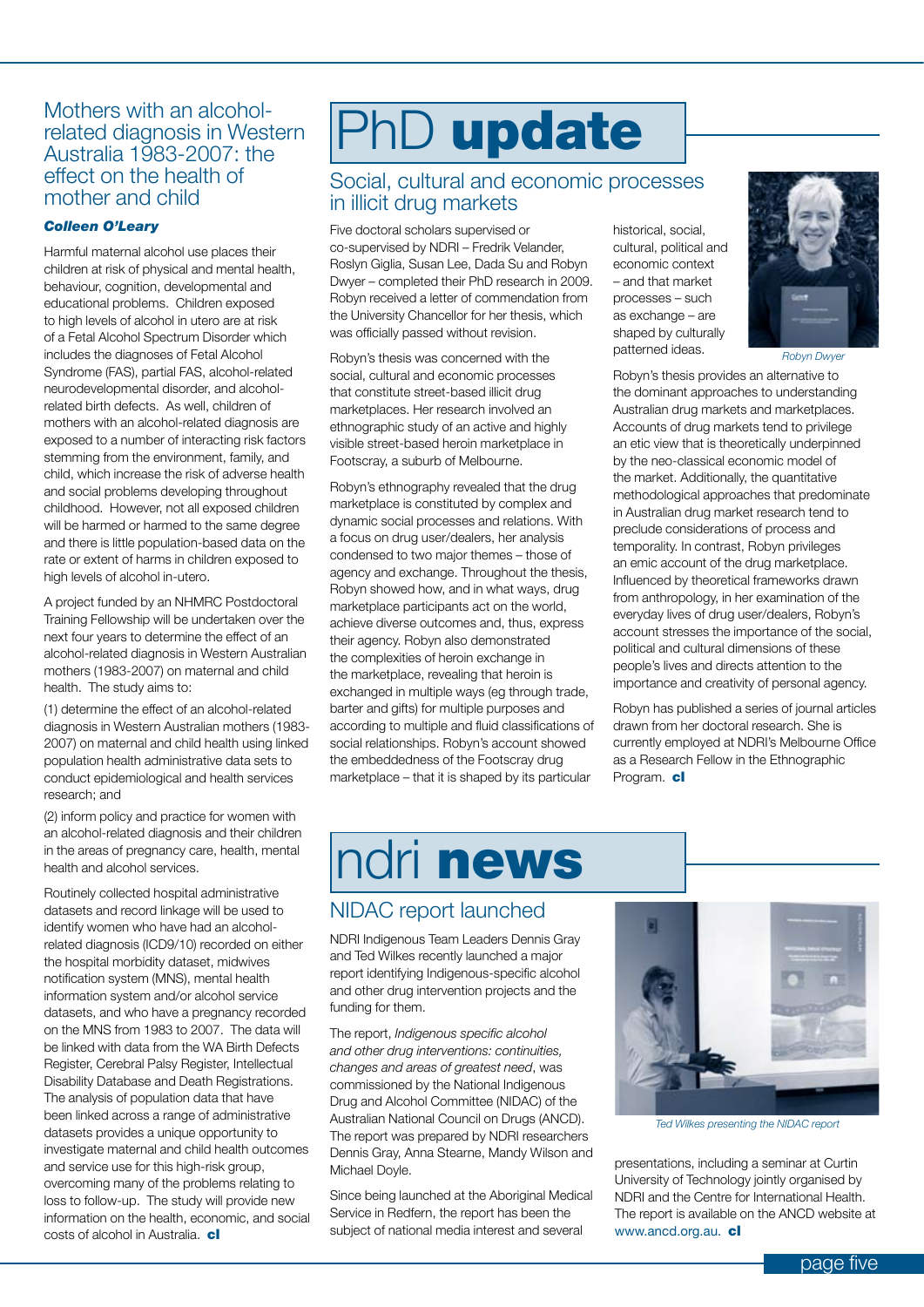### related diagnosis in Western Australia 1983-2007: the effect on the health of mother and child

#### *Colleen O'Leary*

Harmful maternal alcohol use places their children at risk of physical and mental health, behaviour, cognition, developmental and educational problems. Children exposed to high levels of alcohol in utero are at risk of a Fetal Alcohol Spectrum Disorder which includes the diagnoses of Fetal Alcohol Syndrome (FAS), partial FAS, alcohol-related neurodevelopmental disorder, and alcoholrelated birth defects. As well, children of mothers with an alcohol-related diagnosis are exposed to a number of interacting risk factors stemming from the environment, family, and child, which increase the risk of adverse health and social problems developing throughout childhood. However, not all exposed children will be harmed or harmed to the same degree and there is little population-based data on the rate or extent of harms in children exposed to high levels of alcohol in-utero.

A project funded by an NHMRC Postdoctoral Training Fellowship will be undertaken over the next four years to determine the effect of an alcohol-related diagnosis in Western Australian mothers (1983-2007) on maternal and child health. The study aims to:

(1) determine the effect of an alcohol-related diagnosis in Western Australian mothers (1983- 2007) on maternal and child health using linked population health administrative data sets to conduct epidemiological and health services research; and

(2) inform policy and practice for women with an alcohol-related diagnosis and their children in the areas of pregnancy care, health, mental health and alcohol services.

Routinely collected hospital administrative datasets and record linkage will be used to identify women who have had an alcoholrelated diagnosis (ICD9/10) recorded on either the hospital morbidity dataset, midwives notification system (MNS), mental health information system and/or alcohol service datasets, and who have a pregnancy recorded on the MNS from 1983 to 2007. The data will be linked with data from the WA Birth Defects Register, Cerebral Palsy Register, Intellectual Disability Database and Death Registrations. The analysis of population data that have been linked across a range of administrative datasets provides a unique opportunity to investigate maternal and child health outcomes and service use for this high-risk group, overcoming many of the problems relating to loss to follow-up. The study will provide new information on the health, economic, and social costs of alcohol in Australia. **cl** 

## Mothers with an alcohol-<br>related diagnosis in Western **PhD** update

#### Social, cultural and economic processes in illicit drug markets

Five doctoral scholars supervised or co-supervised by NDRI – Fredrik Velander, Roslyn Giglia, Susan Lee, Dada Su and Robyn Dwyer – completed their PhD research in 2009. Robyn received a letter of commendation from the University Chancellor for her thesis, which was officially passed without revision.

Robyn's thesis was concerned with the social, cultural and economic processes that constitute street-based illicit drug marketplaces. Her research involved an ethnographic study of an active and highly visible street-based heroin marketplace in Footscray, a suburb of Melbourne.

Robyn's ethnography revealed that the drug marketplace is constituted by complex and dynamic social processes and relations. With a focus on drug user/dealers, her analysis condensed to two major themes – those of agency and exchange. Throughout the thesis, Robyn showed how, and in what ways, drug marketplace participants act on the world, achieve diverse outcomes and, thus, express their agency. Robyn also demonstrated the complexities of heroin exchange in the marketplace, revealing that heroin is exchanged in multiple ways (eg through trade, barter and gifts) for multiple purposes and according to multiple and fluid classifications of social relationships. Robyn's account showed the embeddedness of the Footscray drug marketplace – that it is shaped by its particular

historical, social, cultural, political and economic context – and that market processes – such as exchange – are shaped by culturally patterned ideas.



*Robyn Dwyer*

Robyn's thesis provides an alternative to the dominant approaches to understanding Australian drug markets and marketplaces. Accounts of drug markets tend to privilege an etic view that is theoretically underpinned by the neo-classical economic model of the market. Additionally, the quantitative methodological approaches that predominate in Australian drug market research tend to preclude considerations of process and temporality. In contrast, Robyn privileges an emic account of the drug marketplace. Influenced by theoretical frameworks drawn from anthropology, in her examination of the everyday lives of drug user/dealers, Robyn's account stresses the importance of the social, political and cultural dimensions of these people's lives and directs attention to the importance and creativity of personal agency.

Robyn has published a series of journal articles drawn from her doctoral research. She is currently employed at NDRI's Melbourne Office as a Research Fellow in the Ethnographic Program. cl

### ndri news

### NIDAC report launched

NDRI Indigenous Team Leaders Dennis Gray and Ted Wilkes recently launched a major report identifying Indigenous-specific alcohol and other drug intervention projects and the funding for them.

The report, *Indigenous specific alcohol and other drug interventions: continuities, changes and areas of greatest need*, was commissioned by the National Indigenous Drug and Alcohol Committee (NIDAC) of the Australian National Council on Drugs (ANCD). The report was prepared by NDRI researchers Dennis Gray, Anna Stearne, Mandy Wilson and Michael Doyle.

Since being launched at the Aboriginal Medical Service in Redfern, the report has been the subject of national media interest and several



*Ted Wilkes presenting the NIDAC report*

presentations, including a seminar at Curtin University of Technology jointly organised by NDRI and the Centre for International Health. The report is available on the ANCD website at www.ancd.org.au. cl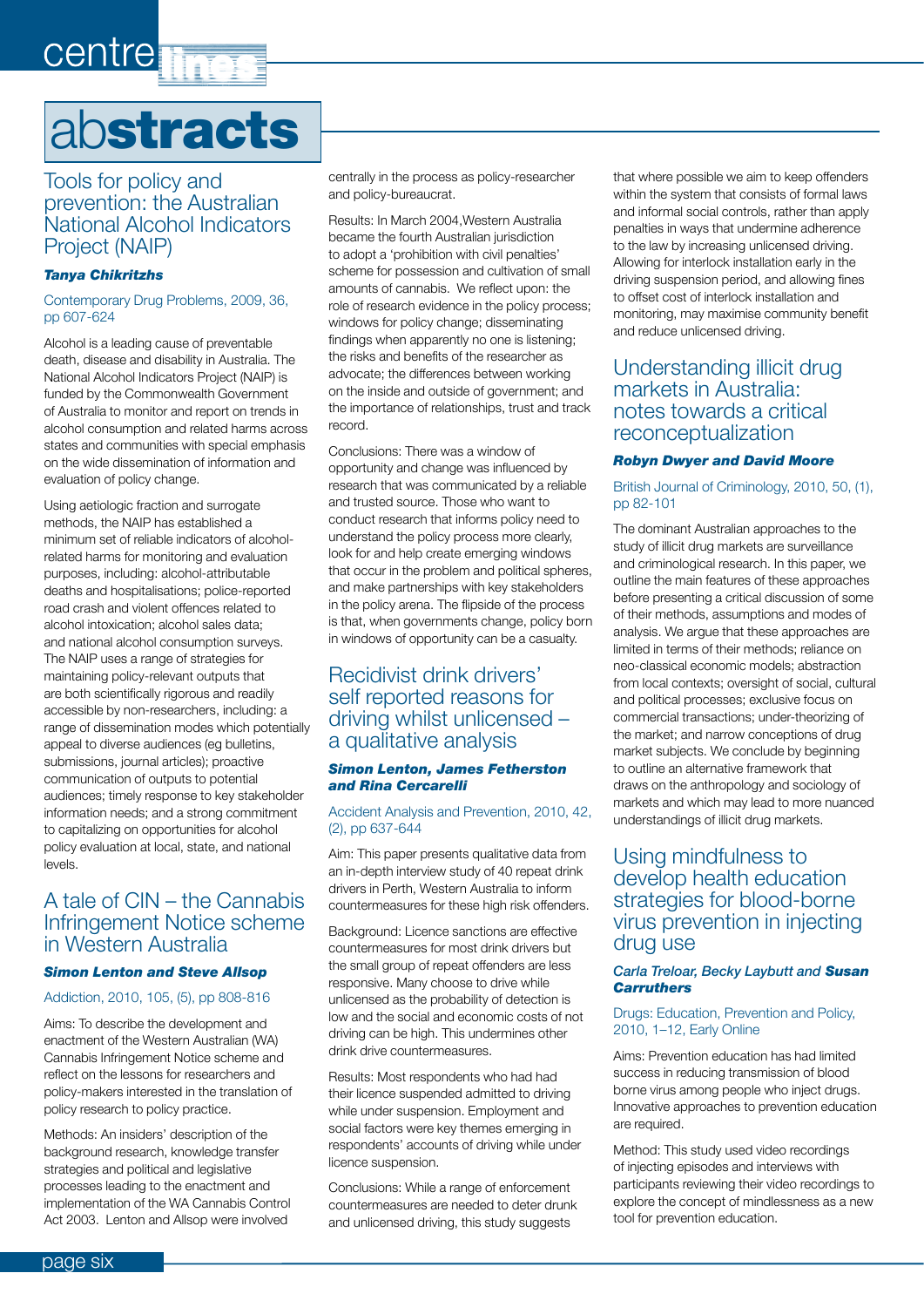## centre<sub>1</sub>

## abstracts

#### Tools for policy and prevention: the Australian National Alcohol Indicators Project (NAIP)

#### *Tanya Chikritzhs*

#### Contemporary Drug Problems, 2009, 36, pp 607-624

Alcohol is a leading cause of preventable death, disease and disability in Australia. The National Alcohol Indicators Project (NAIP) is funded by the Commonwealth Government of Australia to monitor and report on trends in alcohol consumption and related harms across states and communities with special emphasis on the wide dissemination of information and evaluation of policy change.

Using aetiologic fraction and surrogate methods, the NAIP has established a minimum set of reliable indicators of alcoholrelated harms for monitoring and evaluation purposes, including: alcohol-attributable deaths and hospitalisations; police-reported road crash and violent offences related to alcohol intoxication; alcohol sales data; and national alcohol consumption surveys. The NAIP uses a range of strategies for maintaining policy-relevant outputs that are both scientifically rigorous and readily accessible by non-researchers, including: a range of dissemination modes which potentially appeal to diverse audiences (eg bulletins, submissions, journal articles); proactive communication of outputs to potential audiences; timely response to key stakeholder information needs; and a strong commitment to capitalizing on opportunities for alcohol policy evaluation at local, state, and national levels.

### A tale of CIN – the Cannabis Infringement Notice scheme in Western Australia

#### *Simon Lenton and Steve Allsop*

#### Addiction, 2010, 105, (5), pp 808-816

Aims: To describe the development and enactment of the Western Australian (WA) Cannabis Infringement Notice scheme and reflect on the lessons for researchers and policy-makers interested in the translation of policy research to policy practice.

Methods: An insiders' description of the background research, knowledge transfer strategies and political and legislative processes leading to the enactment and implementation of the WA Cannabis Control Act 2003. Lenton and Allsop were involved

centrally in the process as policy-researcher and policy-bureaucrat.

Results: In March 2004,Western Australia became the fourth Australian jurisdiction to adopt a 'prohibition with civil penalties' scheme for possession and cultivation of small amounts of cannabis. We reflect upon: the role of research evidence in the policy process; windows for policy change; disseminating findings when apparently no one is listening; the risks and benefits of the researcher as advocate; the differences between working on the inside and outside of government; and the importance of relationships, trust and track record.

Conclusions: There was a window of opportunity and change was influenced by research that was communicated by a reliable and trusted source. Those who want to conduct research that informs policy need to understand the policy process more clearly, look for and help create emerging windows that occur in the problem and political spheres, and make partnerships with key stakeholders in the policy arena. The flipside of the process is that, when governments change, policy born in windows of opportunity can be a casualty.

### Recidivist drink drivers' self reported reasons for driving whilst unlicensed – a qualitative analysis

#### *Simon Lenton, James Fetherston and Rina Cercarelli*

#### Accident Analysis and Prevention, 2010, 42, (2), pp 637-644

Aim: This paper presents qualitative data from an in-depth interview study of 40 repeat drink drivers in Perth, Western Australia to inform countermeasures for these high risk offenders.

Background: Licence sanctions are effective countermeasures for most drink drivers but the small group of repeat offenders are less responsive. Many choose to drive while unlicensed as the probability of detection is low and the social and economic costs of not driving can be high. This undermines other drink drive countermeasures.

Results: Most respondents who had had their licence suspended admitted to driving while under suspension. Employment and social factors were key themes emerging in respondents' accounts of driving while under licence suspension.

Conclusions: While a range of enforcement countermeasures are needed to deter drunk and unlicensed driving, this study suggests

that where possible we aim to keep offenders within the system that consists of formal laws and informal social controls, rather than apply penalties in ways that undermine adherence to the law by increasing unlicensed driving. Allowing for interlock installation early in the driving suspension period, and allowing fines to offset cost of interlock installation and monitoring, may maximise community benefit and reduce unlicensed driving.

#### Understanding illicit drug markets in Australia: notes towards a critical reconceptualization

#### *Robyn Dwyer and David Moore*

#### British Journal of Criminology, 2010, 50, (1), pp 82-101

The dominant Australian approaches to the study of illicit drug markets are surveillance and criminological research. In this paper, we outline the main features of these approaches before presenting a critical discussion of some of their methods, assumptions and modes of analysis. We argue that these approaches are limited in terms of their methods; reliance on neo-classical economic models; abstraction from local contexts; oversight of social, cultural and political processes; exclusive focus on commercial transactions; under-theorizing of the market; and narrow conceptions of drug market subjects. We conclude by beginning to outline an alternative framework that draws on the anthropology and sociology of markets and which may lead to more nuanced understandings of illicit drug markets.

### Using mindfulness to develop health education strategies for blood-borne virus prevention in injecting drug use

#### *Carla Treloar, Becky Laybutt and Susan Carruthers*

#### Drugs: Education, Prevention and Policy, 2010, 1–12, Early Online

Aims: Prevention education has had limited success in reducing transmission of blood borne virus among people who inject drugs. Innovative approaches to prevention education are required.

Method: This study used video recordings of injecting episodes and interviews with participants reviewing their video recordings to explore the concept of mindlessness as a new tool for prevention education.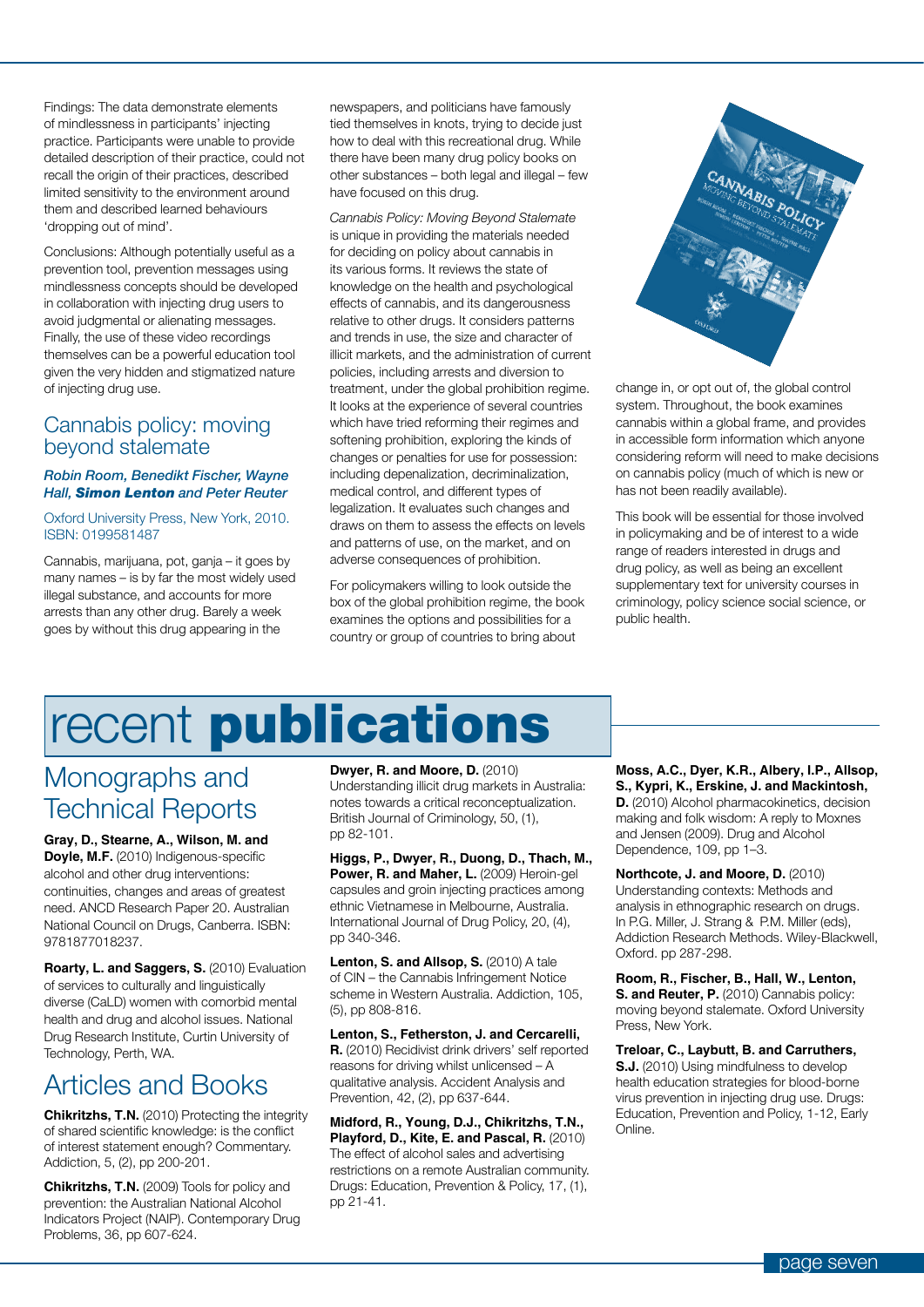Findings: The data demonstrate elements of mindlessness in participants' injecting practice. Participants were unable to provide detailed description of their practice, could not recall the origin of their practices, described limited sensitivity to the environment around them and described learned behaviours 'dropping out of mind'.

Conclusions: Although potentially useful as a prevention tool, prevention messages using mindlessness concepts should be developed in collaboration with injecting drug users to avoid judgmental or alienating messages. Finally, the use of these video recordings themselves can be a powerful education tool given the very hidden and stigmatized nature of injecting drug use.

#### Cannabis policy: moving beyond stalemate

#### *Robin Room, Benedikt Fischer, Wayne Hall, Simon Lenton and Peter Reuter*

#### Oxford University Press, New York, 2010. ISBN: 0199581487

Cannabis, marijuana, pot, ganja – it goes by many names – is by far the most widely used illegal substance, and accounts for more arrests than any other drug. Barely a week goes by without this drug appearing in the

newspapers, and politicians have famously tied themselves in knots, trying to decide just how to deal with this recreational drug. While there have been many drug policy books on other substances – both legal and illegal – few have focused on this drug.

*Cannabis Policy: Moving Beyond Stalemate*  is unique in providing the materials needed for deciding on policy about cannabis in its various forms. It reviews the state of knowledge on the health and psychological effects of cannabis, and its dangerousness relative to other drugs. It considers patterns and trends in use, the size and character of illicit markets, and the administration of current policies, including arrests and diversion to treatment, under the global prohibition regime. It looks at the experience of several countries which have tried reforming their regimes and softening prohibition, exploring the kinds of changes or penalties for use for possession: including depenalization, decriminalization, medical control, and different types of legalization. It evaluates such changes and draws on them to assess the effects on levels and patterns of use, on the market, and on adverse consequences of prohibition.

For policymakers willing to look outside the box of the global prohibition regime, the book examines the options and possibilities for a country or group of countries to bring about



change in, or opt out of, the global control system. Throughout, the book examines cannabis within a global frame, and provides in accessible form information which anyone considering reform will need to make decisions on cannabis policy (much of which is new or has not been readily available).

This book will be essential for those involved in policymaking and be of interest to a wide range of readers interested in drugs and drug policy, as well as being an excellent supplementary text for university courses in criminology, policy science social science, or public health.

## recent publications

### Monographs and Technical Reports

**Gray, D., Stearne, A., Wilson, M. and Doyle, M.F.** (2010) Indigenous-specific alcohol and other drug interventions: continuities, changes and areas of greatest need. ANCD Research Paper 20. Australian National Council on Drugs, Canberra. ISBN: 9781877018237.

**Roarty, L. and Saggers, S.** (2010) Evaluation of services to culturally and linguistically diverse (CaLD) women with comorbid mental health and drug and alcohol issues. National Drug Research Institute, Curtin University of Technology, Perth, WA.

### Articles and Books

**Chikritzhs, T.N.** (2010) Protecting the integrity of shared scientific knowledge: is the conflict of interest statement enough? Commentary. Addiction, 5, (2), pp 200-201.

**Chikritzhs, T.N.** (2009) Tools for policy and prevention: the Australian National Alcohol Indicators Project (NAIP). Contemporary Drug Problems, 36, pp 607-624.

**Dwyer, R. and Moore, D.** (2010) Understanding illicit drug markets in Australia: notes towards a critical reconceptualization. British Journal of Criminology, 50, (1), pp 82-101.

**Higgs, P., Dwyer, R., Duong, D., Thach, M.,**  Power, R. and Maher, L. (2009) Heroin-gel capsules and groin injecting practices among ethnic Vietnamese in Melbourne, Australia. International Journal of Drug Policy, 20, (4), pp 340-346.

**Lenton, S. and Allsop, S.** (2010) A tale of CIN – the Cannabis Infringement Notice scheme in Western Australia. Addiction, 105, (5), pp 808-816.

**Lenton, S., Fetherston, J. and Cercarelli, R.** (2010) Recidivist drink drivers' self reported reasons for driving whilst unlicensed – A qualitative analysis. Accident Analysis and Prevention, 42, (2), pp 637-644.

**Midford, R., Young, D.J., Chikritzhs, T.N., Playford, D., Kite, E. and Pascal, R.** (2010) The effect of alcohol sales and advertising restrictions on a remote Australian community. Drugs: Education, Prevention & Policy, 17, (1), pp 21-41.

**Moss, A.C., Dyer, K.R., Albery, I.P., Allsop, S., Kypri, K., Erskine, J. and Mackintosh, D.** (2010) Alcohol pharmacokinetics, decision making and folk wisdom: A reply to Moxnes and Jensen (2009). Drug and Alcohol Dependence, 109, pp 1–3.

**Northcote, J. and Moore, D.** (2010) Understanding contexts: Methods and analysis in ethnographic research on drugs. In P.G. Miller, J. Strang & P.M. Miller (eds), Addiction Research Methods. Wiley-Blackwell, Oxford. pp 287-298.

**Room, R., Fischer, B., Hall, W., Lenton, S. and Reuter, P.** (2010) Cannabis policy: moving beyond stalemate. Oxford University Press, New York.

**Treloar, C., Laybutt, B. and Carruthers,** 

**S.J.** (2010) Using mindfulness to develop health education strategies for blood-borne virus prevention in injecting drug use. Drugs: Education, Prevention and Policy, 1-12, Early Online.